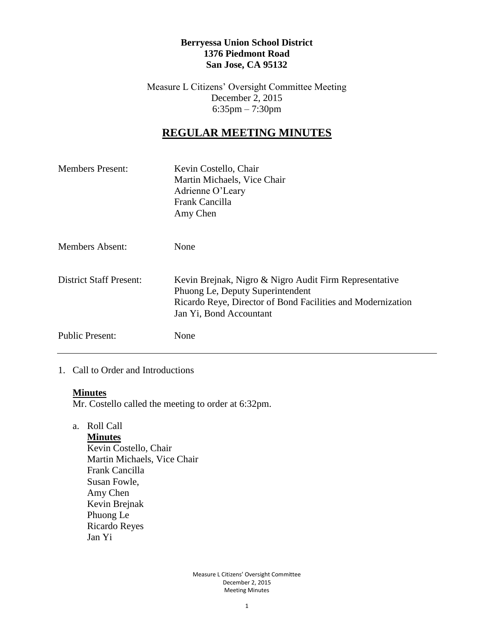### **Berryessa Union School District 1376 Piedmont Road San Jose, CA 95132**

Measure L Citizens' Oversight Committee Meeting December 2, 2015 6:35pm – 7:30pm

# **REGULAR MEETING MINUTES**

| <b>Members Present:</b> | Kevin Costello, Chair<br>Martin Michaels, Vice Chair<br>Adrienne O'Leary<br>Frank Cancilla<br>Amy Chen                                                                               |
|-------------------------|--------------------------------------------------------------------------------------------------------------------------------------------------------------------------------------|
| <b>Members Absent:</b>  | <b>None</b>                                                                                                                                                                          |
| District Staff Present: | Kevin Brejnak, Nigro & Nigro Audit Firm Representative<br>Phuong Le, Deputy Superintendent<br>Ricardo Reye, Director of Bond Facilities and Modernization<br>Jan Yi, Bond Accountant |
| <b>Public Present:</b>  | None                                                                                                                                                                                 |

### 1. Call to Order and Introductions

#### **Minutes**

Mr. Costello called the meeting to order at 6:32pm.

a. Roll Call

**Minutes** Kevin Costello, Chair Martin Michaels, Vice Chair Frank Cancilla Susan Fowle, Amy Chen Kevin Brejnak Phuong Le Ricardo Reyes Jan Yi

> Measure L Citizens' Oversight Committee December 2, 2015 Meeting Minutes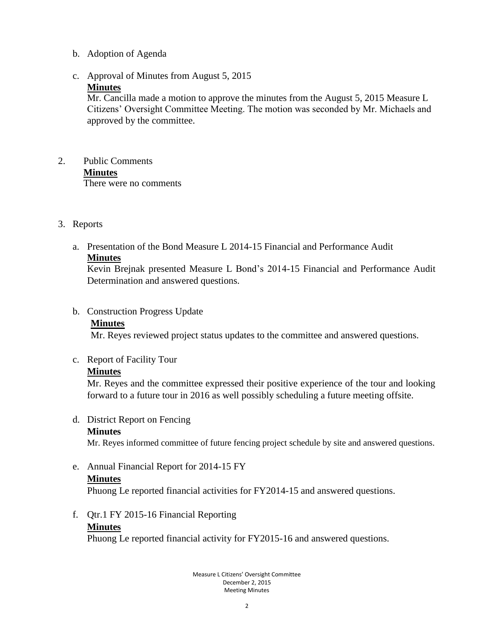### b. Adoption of Agenda

# c. Approval of Minutes from August 5, 2015

### **Minutes**

Mr. Cancilla made a motion to approve the minutes from the August 5, 2015 Measure L Citizens' Oversight Committee Meeting. The motion was seconded by Mr. Michaels and approved by the committee.

#### 2. Public Comments **Minutes** There were no comments

### 3. Reports

a. Presentation of the Bond Measure L 2014-15 Financial and Performance Audit **Minutes**

Kevin Brejnak presented Measure L Bond's 2014-15 Financial and Performance Audit Determination and answered questions.

## b. Construction Progress Update

### **Minutes**

Mr. Reyes reviewed project status updates to the committee and answered questions.

## c. Report of Facility Tour

## **Minutes**

Mr. Reyes and the committee expressed their positive experience of the tour and looking forward to a future tour in 2016 as well possibly scheduling a future meeting offsite.

#### d. District Report on Fencing

## **Minutes**

Mr. Reyes informed committee of future fencing project schedule by site and answered questions.

e. Annual Financial Report for 2014-15 FY

## **Minutes**

Phuong Le reported financial activities for FY2014-15 and answered questions.

f. Qtr.1 FY 2015-16 Financial Reporting **Minutes**

Phuong Le reported financial activity for FY2015-16 and answered questions.

Measure L Citizens' Oversight Committee December 2, 2015 Meeting Minutes